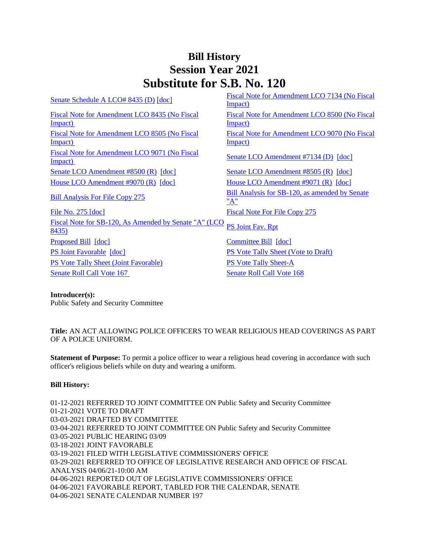# **Bill History Session Year 2021 Substitute for S.B. No. 120**

[Senate Schedule A LCO# 8435 \(D\)](/2021/amd/S/pdf/2021SB-00120-R00SA-AMD.pdf)  $[doc]$  Fiscal Note for Amendment LCO 7134 (No Fiscal [Impact\)](/2021/fna/pdf/2021SB-00120-R00LCO07134-FNA.pdf)  [Fiscal Note for Amendment LCO 8435 \(No Fiscal](/2021/fna/pdf/2021SB-00120-R00LCO08435-FNA.pdf)  [Impact\)](/2021/fna/pdf/2021SB-00120-R00LCO08435-FNA.pdf)  [Fiscal Note for Amendment LCO 8500 \(No Fiscal](/2021/fna/pdf/2021SB-00120-R00LCO08500-FNA.PDF)  [Impact\)](/2021/fna/pdf/2021SB-00120-R00LCO08500-FNA.PDF)  [Fiscal Note for Amendment LCO 8505 \(No Fiscal](/2021/fna/pdf/2021SB-00120-R00LCO08505-FNA.pdf)  [Impact\)](/2021/fna/pdf/2021SB-00120-R00LCO08505-FNA.pdf)  [Fiscal Note for Amendment LCO 9070 \(No Fiscal](/2021/fna/pdf/2021SB-00120-R00LCO09070-FNA.pdf)  [Impact\)](/2021/fna/pdf/2021SB-00120-R00LCO09070-FNA.pdf)  [Fiscal Note for Amendment LCO 9071 \(No Fiscal](/2021/fna/pdf/2021SB-00120-R00LCO09071-FNA.pdf)  Fiscal Note for Amendment LCO 5071 (i.v. 1 isseal<br>[Impact\)](/2021/fna/pdf/2021SB-00120-R00LCO09071-FNA.pdf) [Senate LCO Amendment #7134 \(D\)](/2021/lcoamd/pdf/2021LCO07134-R00-AMD.pdf) [\[doc\]](https://search.cga.state.ct.us/dl2021/aml/doc/2021LCO07134-R00-AMD.docx) [Senate LCO Amendment #8500 \(R\)](/2021/lcoamd/pdf/2021LCO08500-R00-AMD.pdf) [\[doc\]](https://search.cga.state.ct.us/dl2021/aml/doc/2021LCO08500-R00-AMD.docx) [Senate LCO Amendment #8505 \(R\)](/2021/lcoamd/pdf/2021LCO08505-R00-AMD.pdf) [\[doc\]](https://search.cga.state.ct.us/dl2021/aml/doc/2021LCO08505-R00-AMD.docx) [House LCO Amendment #9070 \(R\)](/2021/lcoamd/pdf/2021LCO09070-R00-AMD.pdf) [\[doc\]](https://search.cga.state.ct.us/dl2021/aml/doc/2021LCO09070-R00-AMD.DOCX) [House LCO Amendment #9071 \(R\)](/2021/lcoamd/pdf/2021LCO09071-R00-AMD.pdf) [\[doc\]](https://search.cga.state.ct.us/dl2021/aml/doc/2021LCO09071-R00-AMD.DOCX) [Bill Analysis For File Copy 275](/2021/BA/PDF/2021SB-00120-R000275-BA.PDF) Bill Analysis for SB-120, as amended by Senate ["A"](/2021/BA/PDF/2021SB-00120-R01-BA.PDF) [File No. 275](/2021/FC/PDF/2021SB-00120-R000275-FC.PDF) [\[doc\]](/2021/FC/PDF/2021SB-00120-R000275-FC.PDF) [Fiscal Note For File Copy 275](/2021/FN/PDF/2021SB-00120-R000275-FN.PDF) [Fiscal Note for SB-120, As Amended by Senate "A" \(LCO](/2021/FN/PDF/2021SB-00120-R01-FN.PDF) PS Joint Fav. Rpt [8435\)](/2021/FN/PDF/2021SB-00120-R01-FN.PDF) [Proposed Bill](/2021/TOB/S/PDF/2021SB-00120-R00-SB.PDF) [\[doc\]](https://search.cga.state.ct.us/dl2021/TOB/DOC/2021SB-00120-R01-SB.DOCX) [Committee Bill](/2021/TOB/S/PDF/2021SB-00120-R01-SB.PDF) [doc] [PS Joint Favorable](/2021/TOB/S/PDF/2021SB-00120-R02-SB.PDF) [\[doc\]](https://search.cga.state.ct.us/dl2021/TOB/DOC/2021SB-00120-R02-SB.DOCX) [PS Vote Tally Sheet \(Vote to Draft\)](/2021/TS/S/PDF/2021SB-00120-R00PS-CV2-TS.PDF) [PS Vote Tally Sheet \(Joint Favorable\)](/2021/TS/S/PDF/2021SB-00120-R00PS-CV85-TS.PDF) [PS Vote Tally Sheet-A](/2021/TS/S/PDF/2021SB-00120-R00PSA-CV86-TS.PDF) [Senate Roll Call Vote 167](/2021/VOTE/S/PDF/2021SV-00167-R00SB00120-SV.PDF) Senate Roll Call Vote 168

### **Introducer(s):**

Public Safety and Security Committee

**Title:** AN ACT ALLOWING POLICE OFFICERS TO WEAR RELIGIOUS HEAD COVERINGS AS PART OF A POLICE UNIFORM.

**Statement of Purpose:** To permit a police officer to wear a religious head covering in accordance with such officer's religious beliefs while on duty and wearing a uniform.

### **Bill History:**

01-12-2021 REFERRED TO JOINT COMMITTEE ON Public Safety and Security Committee 01-21-2021 VOTE TO DRAFT 03-03-2021 DRAFTED BY COMMITTEE 03-04-2021 REFERRED TO JOINT COMMITTEE ON Public Safety and Security Committee 03-05-2021 PUBLIC HEARING 03/09 03-18-2021 JOINT FAVORABLE 03-19-2021 FILED WITH LEGISLATIVE COMMISSIONERS' OFFICE 03-29-2021 REFERRED TO OFFICE OF LEGISLATIVE RESEARCH AND OFFICE OF FISCAL ANALYSIS 04/06/21-10:00 AM 04-06-2021 REPORTED OUT OF LEGISLATIVE COMMISSIONERS' OFFICE 04-06-2021 FAVORABLE REPORT, TABLED FOR THE CALENDAR, SENATE 04-06-2021 SENATE CALENDAR NUMBER 197